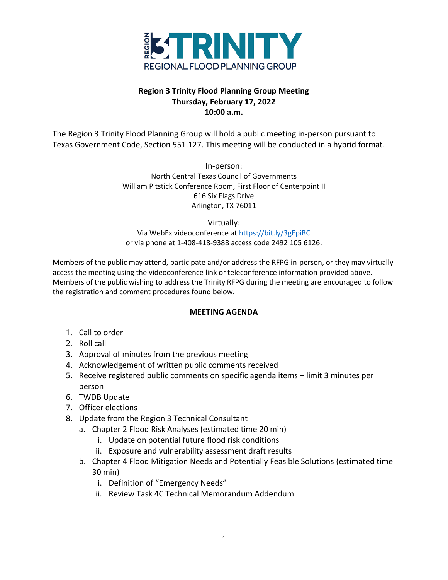

# **Region 3 Trinity Flood Planning Group Meeting Thursday, February 17, 2022 10:00 a.m.**

The Region 3 Trinity Flood Planning Group will hold a public meeting in-person pursuant to Texas Government Code, Section 551.127. This meeting will be conducted in a hybrid format.

> In-person: North Central Texas Council of Governments William Pitstick Conference Room, First Floor of Centerpoint II 616 Six Flags Drive Arlington, TX 76011

> > Virtually:

Via WebEx videoconference a[t https://bit.ly/3gEpiBC](https://bit.ly/3gEpiBC) or via phone at 1-408-418-9388 access code 2492 105 6126.

Members of the public may attend, participate and/or address the RFPG in-person, or they may virtually access the meeting using the videoconference link or teleconference information provided above. Members of the public wishing to address the Trinity RFPG during the meeting are encouraged to follow the registration and comment procedures found below.

### **MEETING AGENDA**

- 1. Call to order
- 2. Roll call
- 3. Approval of minutes from the previous meeting
- 4. Acknowledgement of written public comments received
- 5. Receive registered public comments on specific agenda items limit 3 minutes per person
- 6. TWDB Update
- 7. Officer elections
- 8. Update from the Region 3 Technical Consultant
	- a. Chapter 2 Flood Risk Analyses (estimated time 20 min)
		- i. Update on potential future flood risk conditions
		- ii. Exposure and vulnerability assessment draft results
	- b. Chapter 4 Flood Mitigation Needs and Potentially Feasible Solutions (estimated time 30 min)
		- i. Definition of "Emergency Needs"
		- ii. Review Task 4C Technical Memorandum Addendum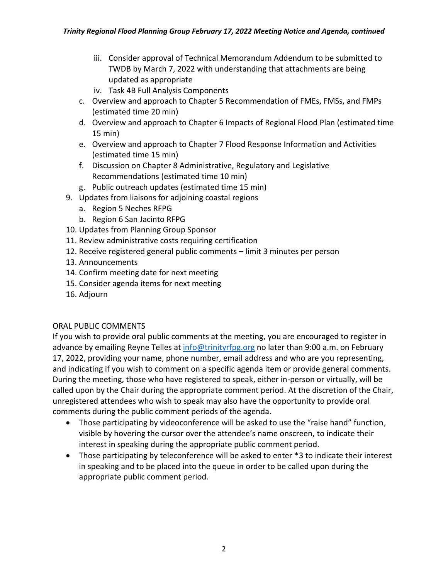- iii. Consider approval of Technical Memorandum Addendum to be submitted to TWDB by March 7, 2022 with understanding that attachments are being updated as appropriate
- iv. Task 4B Full Analysis Components
- c. Overview and approach to Chapter 5 Recommendation of FMEs, FMSs, and FMPs (estimated time 20 min)
- d. Overview and approach to Chapter 6 Impacts of Regional Flood Plan (estimated time 15 min)
- e. Overview and approach to Chapter 7 Flood Response Information and Activities (estimated time 15 min)
- f. Discussion on Chapter 8 Administrative, Regulatory and Legislative Recommendations (estimated time 10 min)
- g. Public outreach updates (estimated time 15 min)
- 9. Updates from liaisons for adjoining coastal regions
	- a. Region 5 Neches RFPG
	- b. Region 6 San Jacinto RFPG
- 10. Updates from Planning Group Sponsor
- 11. Review administrative costs requiring certification
- 12. Receive registered general public comments limit 3 minutes per person
- 13. Announcements
- 14. Confirm meeting date for next meeting
- 15. Consider agenda items for next meeting
- 16. Adjourn

### ORAL PUBLIC COMMENTS

If you wish to provide oral public comments at the meeting, you are encouraged to register in advance by emailing Reyne Telles at [info@trinityrfpg.org](mailto:info@trinityrfpg.org) no later than 9:00 a.m. on February 17, 2022, providing your name, phone number, email address and who are you representing, and indicating if you wish to comment on a specific agenda item or provide general comments. During the meeting, those who have registered to speak, either in-person or virtually, will be called upon by the Chair during the appropriate comment period. At the discretion of the Chair, unregistered attendees who wish to speak may also have the opportunity to provide oral comments during the public comment periods of the agenda.

- Those participating by videoconference will be asked to use the "raise hand" function, visible by hovering the cursor over the attendee's name onscreen, to indicate their interest in speaking during the appropriate public comment period.
- Those participating by teleconference will be asked to enter \*3 to indicate their interest in speaking and to be placed into the queue in order to be called upon during the appropriate public comment period.